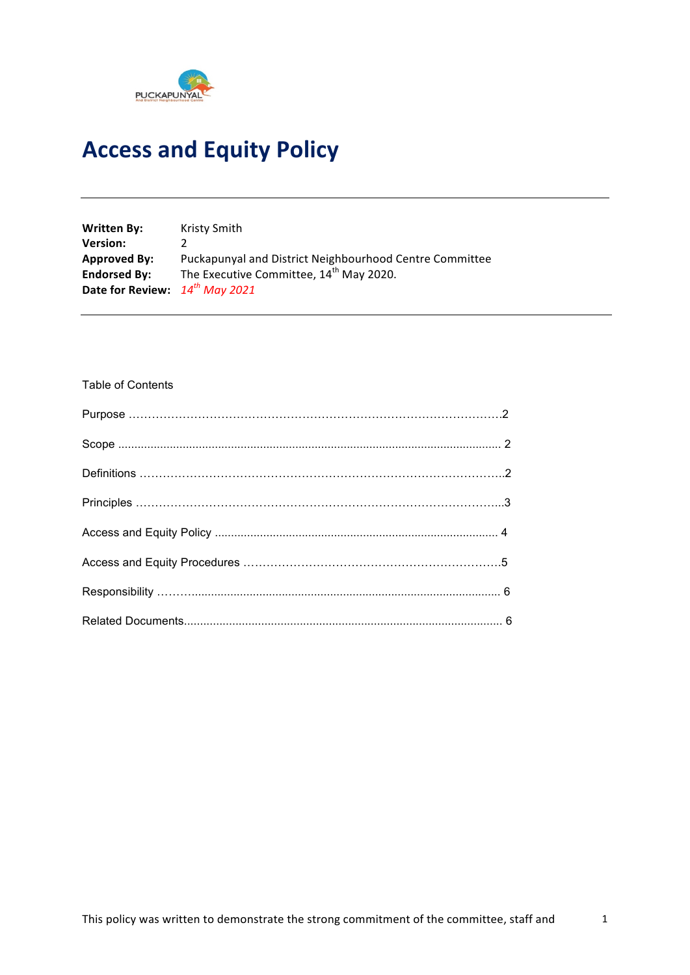

# **Access and Equity Policy**

| <b>Written By:</b>                  | Kristy Smith                                            |
|-------------------------------------|---------------------------------------------------------|
| <b>Version:</b>                     |                                                         |
| <b>Approved By:</b>                 | Puckapunyal and District Neighbourhood Centre Committee |
| <b>Endorsed By:</b>                 | The Executive Committee, 14 <sup>th</sup> May 2020.     |
| Date for Review: $14^{th}$ May 2021 |                                                         |

#### Table of Contents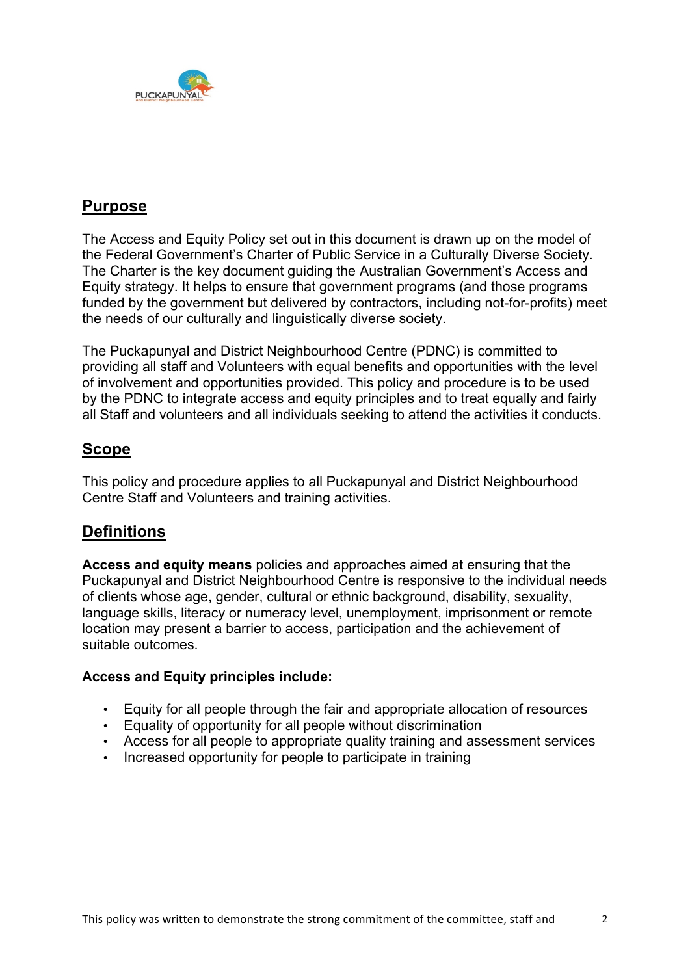

# **Purpose**

The Access and Equity Policy set out in this document is drawn up on the model of the Federal Government's Charter of Public Service in a Culturally Diverse Society. The Charter is the key document guiding the Australian Government's Access and Equity strategy. It helps to ensure that government programs (and those programs funded by the government but delivered by contractors, including not-for-profits) meet the needs of our culturally and linguistically diverse society.

The Puckapunyal and District Neighbourhood Centre (PDNC) is committed to providing all staff and Volunteers with equal benefits and opportunities with the level of involvement and opportunities provided. This policy and procedure is to be used by the PDNC to integrate access and equity principles and to treat equally and fairly all Staff and volunteers and all individuals seeking to attend the activities it conducts.

# **Scope**

This policy and procedure applies to all Puckapunyal and District Neighbourhood Centre Staff and Volunteers and training activities.

# **Definitions**

**Access and equity means** policies and approaches aimed at ensuring that the Puckapunyal and District Neighbourhood Centre is responsive to the individual needs of clients whose age, gender, cultural or ethnic background, disability, sexuality, language skills, literacy or numeracy level, unemployment, imprisonment or remote location may present a barrier to access, participation and the achievement of suitable outcomes.

#### **Access and Equity principles include:**

- Equity for all people through the fair and appropriate allocation of resources
- Equality of opportunity for all people without discrimination
- Access for all people to appropriate quality training and assessment services
- Increased opportunity for people to participate in training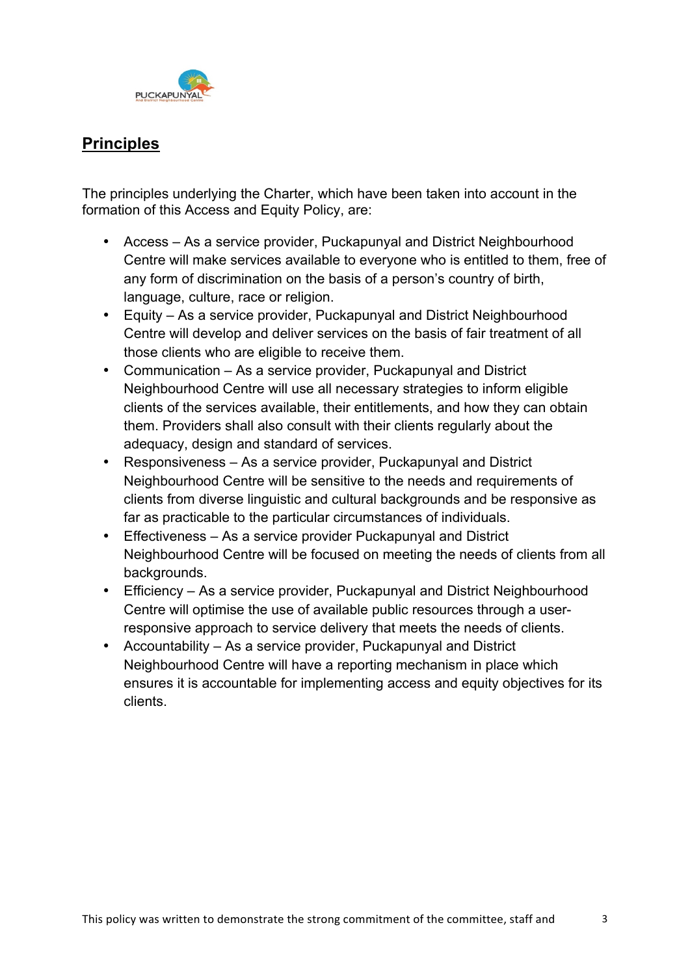

# **Principles**

The principles underlying the Charter, which have been taken into account in the formation of this Access and Equity Policy, are:

- Access As a service provider, Puckapunyal and District Neighbourhood Centre will make services available to everyone who is entitled to them, free of any form of discrimination on the basis of a person's country of birth, language, culture, race or religion.
- Equity As a service provider, Puckapunyal and District Neighbourhood Centre will develop and deliver services on the basis of fair treatment of all those clients who are eligible to receive them.
- Communication As a service provider, Puckapunyal and District Neighbourhood Centre will use all necessary strategies to inform eligible clients of the services available, their entitlements, and how they can obtain them. Providers shall also consult with their clients regularly about the adequacy, design and standard of services.
- Responsiveness As a service provider, Puckapunyal and District Neighbourhood Centre will be sensitive to the needs and requirements of clients from diverse linguistic and cultural backgrounds and be responsive as far as practicable to the particular circumstances of individuals.
- Effectiveness As a service provider Puckapunyal and District Neighbourhood Centre will be focused on meeting the needs of clients from all backgrounds.
- Efficiency As a service provider, Puckapunyal and District Neighbourhood Centre will optimise the use of available public resources through a userresponsive approach to service delivery that meets the needs of clients.
- Accountability As a service provider, Puckapunyal and District Neighbourhood Centre will have a reporting mechanism in place which ensures it is accountable for implementing access and equity objectives for its clients.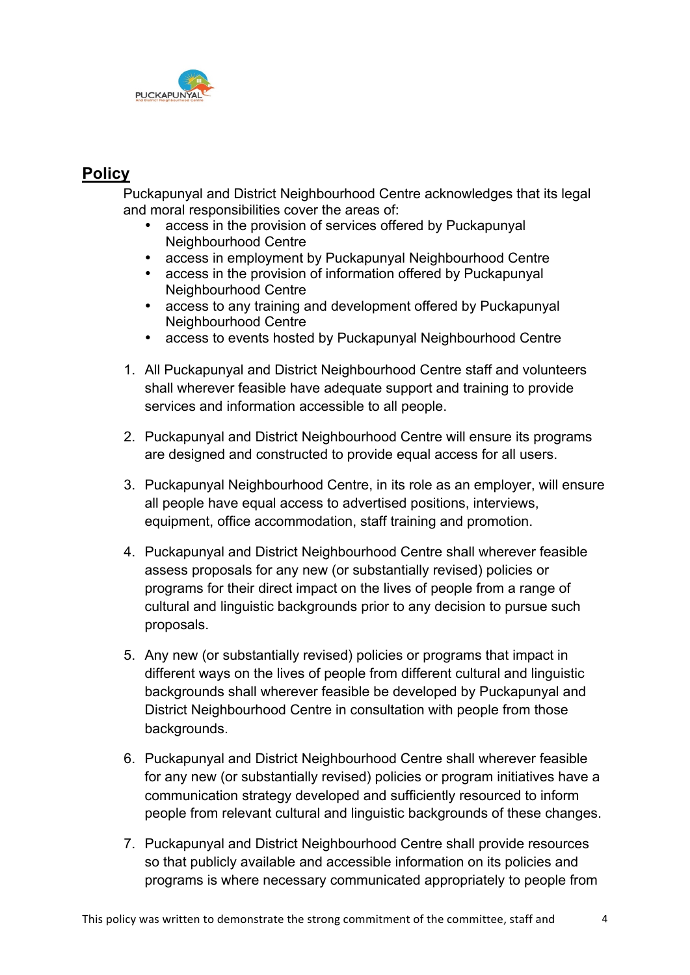

# **Policy**

Puckapunyal and District Neighbourhood Centre acknowledges that its legal and moral responsibilities cover the areas of:

- access in the provision of services offered by Puckapunyal Neighbourhood Centre
- access in employment by Puckapunyal Neighbourhood Centre
- access in the provision of information offered by Puckapunyal Neighbourhood Centre
- access to any training and development offered by Puckapunyal Neighbourhood Centre
- access to events hosted by Puckapunyal Neighbourhood Centre
- 1. All Puckapunyal and District Neighbourhood Centre staff and volunteers shall wherever feasible have adequate support and training to provide services and information accessible to all people.
- 2. Puckapunyal and District Neighbourhood Centre will ensure its programs are designed and constructed to provide equal access for all users.
- 3. Puckapunyal Neighbourhood Centre, in its role as an employer, will ensure all people have equal access to advertised positions, interviews, equipment, office accommodation, staff training and promotion.
- 4. Puckapunyal and District Neighbourhood Centre shall wherever feasible assess proposals for any new (or substantially revised) policies or programs for their direct impact on the lives of people from a range of cultural and linguistic backgrounds prior to any decision to pursue such proposals.
- 5. Any new (or substantially revised) policies or programs that impact in different ways on the lives of people from different cultural and linguistic backgrounds shall wherever feasible be developed by Puckapunyal and District Neighbourhood Centre in consultation with people from those backgrounds.
- 6. Puckapunyal and District Neighbourhood Centre shall wherever feasible for any new (or substantially revised) policies or program initiatives have a communication strategy developed and sufficiently resourced to inform people from relevant cultural and linguistic backgrounds of these changes.
- 7. Puckapunyal and District Neighbourhood Centre shall provide resources so that publicly available and accessible information on its policies and programs is where necessary communicated appropriately to people from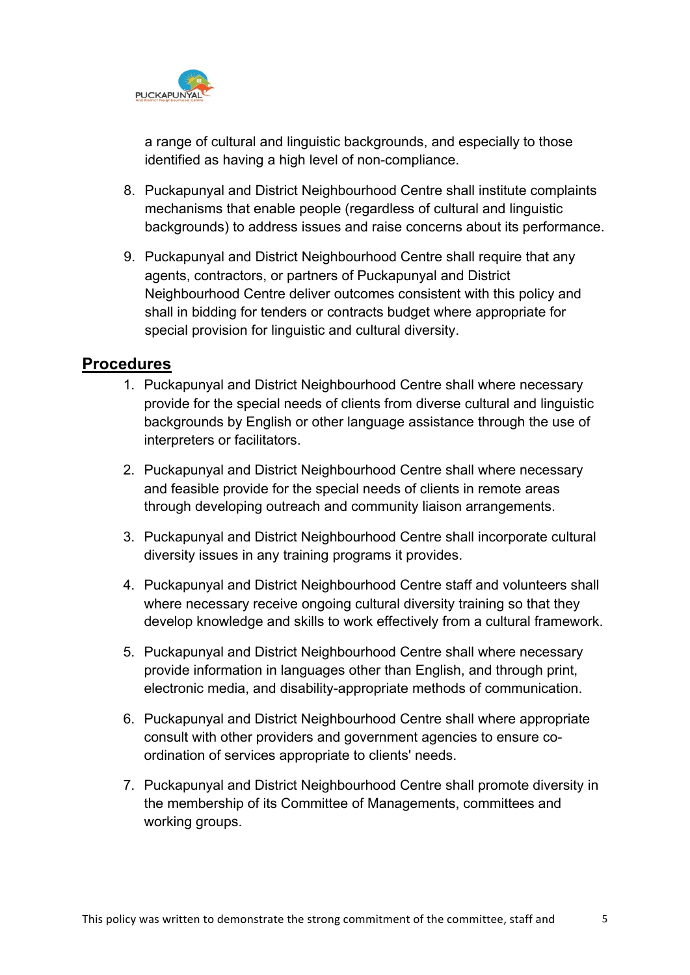

a range of cultural and linguistic backgrounds, and especially to those identified as having a high level of non-compliance.

- 8. Puckapunyal and District Neighbourhood Centre shall institute complaints mechanisms that enable people (regardless of cultural and linguistic backgrounds) to address issues and raise concerns about its performance.
- 9. Puckapunyal and District Neighbourhood Centre shall require that any agents, contractors, or partners of Puckapunyal and District Neighbourhood Centre deliver outcomes consistent with this policy and shall in bidding for tenders or contracts budget where appropriate for special provision for linguistic and cultural diversity.

### **Procedures**

- 1. Puckapunyal and District Neighbourhood Centre shall where necessary provide for the special needs of clients from diverse cultural and linguistic backgrounds by English or other language assistance through the use of interpreters or facilitators.
- 2. Puckapunyal and District Neighbourhood Centre shall where necessary and feasible provide for the special needs of clients in remote areas through developing outreach and community liaison arrangements.
- 3. Puckapunyal and District Neighbourhood Centre shall incorporate cultural diversity issues in any training programs it provides.
- 4. Puckapunyal and District Neighbourhood Centre staff and volunteers shall where necessary receive ongoing cultural diversity training so that they develop knowledge and skills to work effectively from a cultural framework.
- 5. Puckapunyal and District Neighbourhood Centre shall where necessary provide information in languages other than English, and through print, electronic media, and disability-appropriate methods of communication.
- 6. Puckapunyal and District Neighbourhood Centre shall where appropriate consult with other providers and government agencies to ensure coordination of services appropriate to clients' needs.
- 7. Puckapunyal and District Neighbourhood Centre shall promote diversity in the membership of its Committee of Managements, committees and working groups.